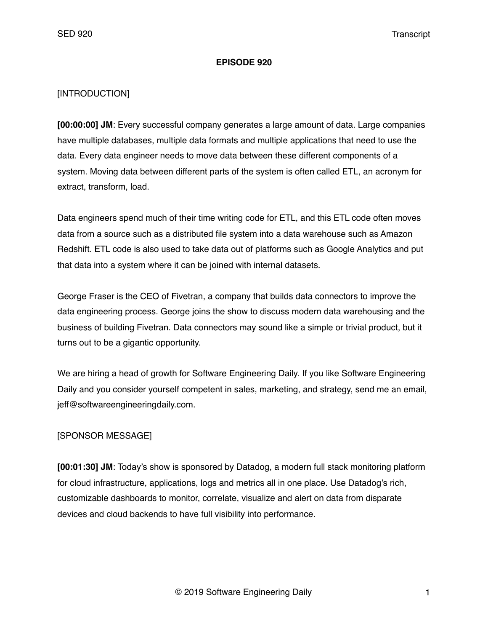### **EPISODE 920**

## [INTRODUCTION]

**[00:00:00] JM**: Every successful company generates a large amount of data. Large companies have multiple databases, multiple data formats and multiple applications that need to use the data. Every data engineer needs to move data between these different components of a system. Moving data between different parts of the system is often called ETL, an acronym for extract, transform, load.

Data engineers spend much of their time writing code for ETL, and this ETL code often moves data from a source such as a distributed file system into a data warehouse such as Amazon Redshift. ETL code is also used to take data out of platforms such as Google Analytics and put that data into a system where it can be joined with internal datasets.

George Fraser is the CEO of Fivetran, a company that builds data connectors to improve the data engineering process. George joins the show to discuss modern data warehousing and the business of building Fivetran. Data connectors may sound like a simple or trivial product, but it turns out to be a gigantic opportunity.

We are hiring a head of growth for Software Engineering Daily. If you like Software Engineering Daily and you consider yourself competent in sales, marketing, and strategy, send me an email, jeff@softwareengineeringdaily.com.

## [SPONSOR MESSAGE]

**[00:01:30] JM**: Today's show is sponsored by Datadog, a modern full stack monitoring platform for cloud infrastructure, applications, logs and metrics all in one place. Use Datadog's rich, customizable dashboards to monitor, correlate, visualize and alert on data from disparate devices and cloud backends to have full visibility into performance.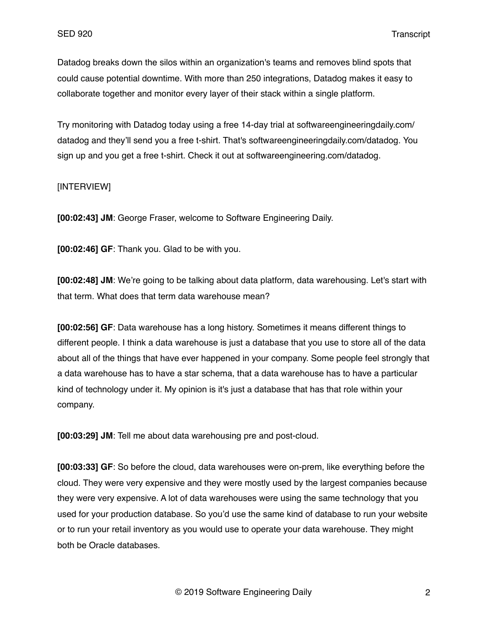Datadog breaks down the silos within an organization's teams and removes blind spots that could cause potential downtime. With more than 250 integrations, Datadog makes it easy to collaborate together and monitor every layer of their stack within a single platform.

Try monitoring with Datadog today using a free 14-day trial at softwareengineeringdaily.com/ datadog and they'll send you a free t-shirt. That's softwareengineeringdaily.com/datadog. You sign up and you get a free t-shirt. Check it out at softwareengineering.com/datadog.

### [INTERVIEW]

**[00:02:43] JM**: George Fraser, welcome to Software Engineering Daily.

**[00:02:46] GF**: Thank you. Glad to be with you.

**[00:02:48] JM**: We're going to be talking about data platform, data warehousing. Let's start with that term. What does that term data warehouse mean?

**[00:02:56] GF**: Data warehouse has a long history. Sometimes it means different things to different people. I think a data warehouse is just a database that you use to store all of the data about all of the things that have ever happened in your company. Some people feel strongly that a data warehouse has to have a star schema, that a data warehouse has to have a particular kind of technology under it. My opinion is it's just a database that has that role within your company.

**[00:03:29] JM**: Tell me about data warehousing pre and post-cloud.

**[00:03:33] GF**: So before the cloud, data warehouses were on-prem, like everything before the cloud. They were very expensive and they were mostly used by the largest companies because they were very expensive. A lot of data warehouses were using the same technology that you used for your production database. So you'd use the same kind of database to run your website or to run your retail inventory as you would use to operate your data warehouse. They might both be Oracle databases.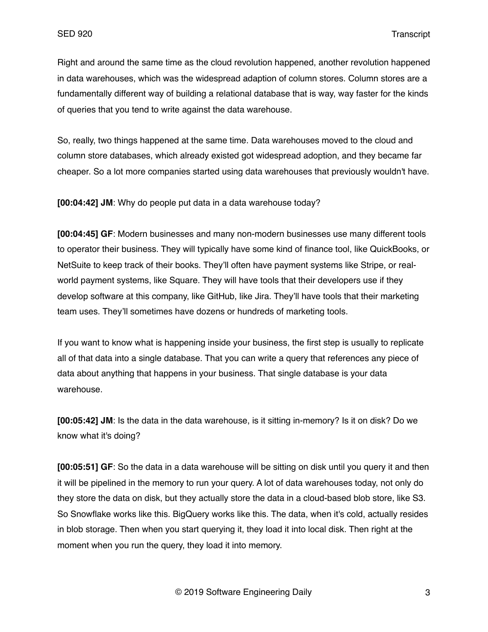Right and around the same time as the cloud revolution happened, another revolution happened in data warehouses, which was the widespread adaption of column stores. Column stores are a fundamentally different way of building a relational database that is way, way faster for the kinds of queries that you tend to write against the data warehouse.

So, really, two things happened at the same time. Data warehouses moved to the cloud and column store databases, which already existed got widespread adoption, and they became far cheaper. So a lot more companies started using data warehouses that previously wouldn't have.

**[00:04:42] JM**: Why do people put data in a data warehouse today?

**[00:04:45] GF**: Modern businesses and many non-modern businesses use many different tools to operator their business. They will typically have some kind of finance tool, like QuickBooks, or NetSuite to keep track of their books. They'll often have payment systems like Stripe, or realworld payment systems, like Square. They will have tools that their developers use if they develop software at this company, like GitHub, like Jira. They'll have tools that their marketing team uses. They'll sometimes have dozens or hundreds of marketing tools.

If you want to know what is happening inside your business, the first step is usually to replicate all of that data into a single database. That you can write a query that references any piece of data about anything that happens in your business. That single database is your data warehouse.

**[00:05:42] JM**: Is the data in the data warehouse, is it sitting in-memory? Is it on disk? Do we know what it's doing?

**[00:05:51] GF**: So the data in a data warehouse will be sitting on disk until you query it and then it will be pipelined in the memory to run your query. A lot of data warehouses today, not only do they store the data on disk, but they actually store the data in a cloud-based blob store, like S3. So Snowflake works like this. BigQuery works like this. The data, when it's cold, actually resides in blob storage. Then when you start querying it, they load it into local disk. Then right at the moment when you run the query, they load it into memory.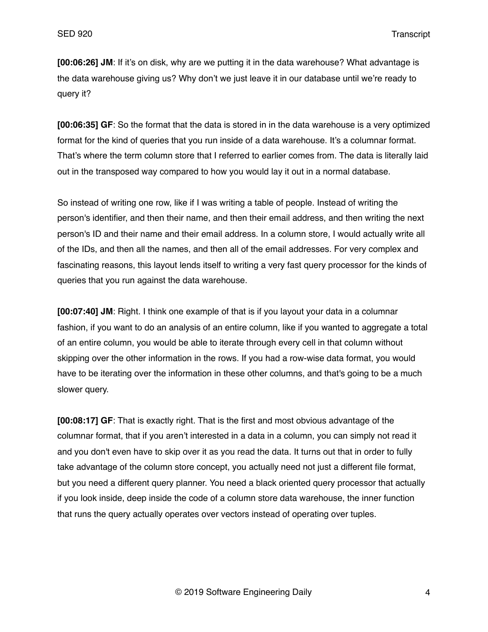**[00:06:26] JM**: If it's on disk, why are we putting it in the data warehouse? What advantage is the data warehouse giving us? Why don't we just leave it in our database until we're ready to query it?

**[00:06:35] GF**: So the format that the data is stored in in the data warehouse is a very optimized format for the kind of queries that you run inside of a data warehouse. It's a columnar format. That's where the term column store that I referred to earlier comes from. The data is literally laid out in the transposed way compared to how you would lay it out in a normal database.

So instead of writing one row, like if I was writing a table of people. Instead of writing the person's identifier, and then their name, and then their email address, and then writing the next person's ID and their name and their email address. In a column store, I would actually write all of the IDs, and then all the names, and then all of the email addresses. For very complex and fascinating reasons, this layout lends itself to writing a very fast query processor for the kinds of queries that you run against the data warehouse.

**[00:07:40] JM**: Right. I think one example of that is if you layout your data in a columnar fashion, if you want to do an analysis of an entire column, like if you wanted to aggregate a total of an entire column, you would be able to iterate through every cell in that column without skipping over the other information in the rows. If you had a row-wise data format, you would have to be iterating over the information in these other columns, and that's going to be a much slower query.

**[00:08:17] GF**: That is exactly right. That is the first and most obvious advantage of the columnar format, that if you aren't interested in a data in a column, you can simply not read it and you don't even have to skip over it as you read the data. It turns out that in order to fully take advantage of the column store concept, you actually need not just a different file format, but you need a different query planner. You need a black oriented query processor that actually if you look inside, deep inside the code of a column store data warehouse, the inner function that runs the query actually operates over vectors instead of operating over tuples.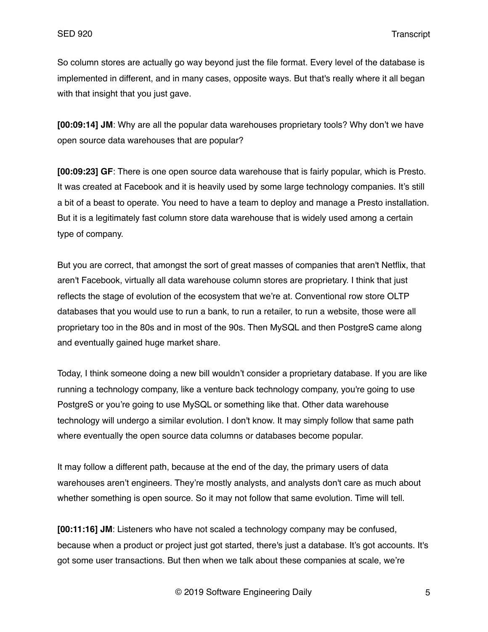So column stores are actually go way beyond just the file format. Every level of the database is implemented in different, and in many cases, opposite ways. But that's really where it all began with that insight that you just gave.

**[00:09:14] JM**: Why are all the popular data warehouses proprietary tools? Why don't we have open source data warehouses that are popular?

**[00:09:23] GF**: There is one open source data warehouse that is fairly popular, which is Presto. It was created at Facebook and it is heavily used by some large technology companies. It's still a bit of a beast to operate. You need to have a team to deploy and manage a Presto installation. But it is a legitimately fast column store data warehouse that is widely used among a certain type of company.

But you are correct, that amongst the sort of great masses of companies that aren't Netflix, that aren't Facebook, virtually all data warehouse column stores are proprietary. I think that just reflects the stage of evolution of the ecosystem that we're at. Conventional row store OLTP databases that you would use to run a bank, to run a retailer, to run a website, those were all proprietary too in the 80s and in most of the 90s. Then MySQL and then PostgreS came along and eventually gained huge market share.

Today, I think someone doing a new bill wouldn't consider a proprietary database. If you are like running a technology company, like a venture back technology company, you're going to use PostgreS or you're going to use MySQL or something like that. Other data warehouse technology will undergo a similar evolution. I don't know. It may simply follow that same path where eventually the open source data columns or databases become popular.

It may follow a different path, because at the end of the day, the primary users of data warehouses aren't engineers. They're mostly analysts, and analysts don't care as much about whether something is open source. So it may not follow that same evolution. Time will tell.

**[00:11:16] JM**: Listeners who have not scaled a technology company may be confused, because when a product or project just got started, there's just a database. It's got accounts. It's got some user transactions. But then when we talk about these companies at scale, we're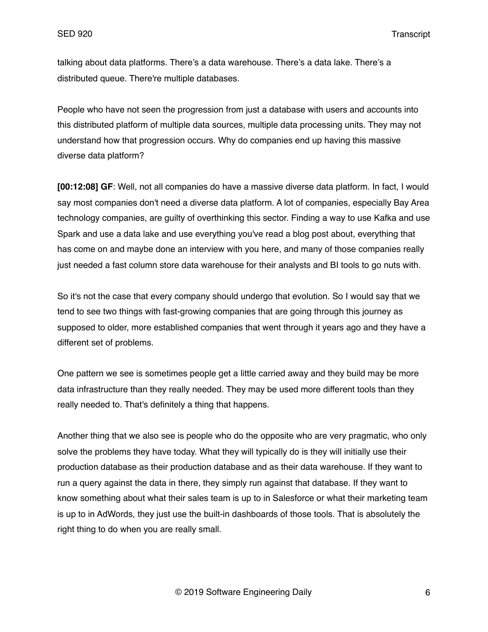talking about data platforms. There's a data warehouse. There's a data lake. There's a distributed queue. There're multiple databases.

People who have not seen the progression from just a database with users and accounts into this distributed platform of multiple data sources, multiple data processing units. They may not understand how that progression occurs. Why do companies end up having this massive diverse data platform?

**[00:12:08] GF**: Well, not all companies do have a massive diverse data platform. In fact, I would say most companies don't need a diverse data platform. A lot of companies, especially Bay Area technology companies, are guilty of overthinking this sector. Finding a way to use Kafka and use Spark and use a data lake and use everything you've read a blog post about, everything that has come on and maybe done an interview with you here, and many of those companies really just needed a fast column store data warehouse for their analysts and BI tools to go nuts with.

So it's not the case that every company should undergo that evolution. So I would say that we tend to see two things with fast-growing companies that are going through this journey as supposed to older, more established companies that went through it years ago and they have a different set of problems.

One pattern we see is sometimes people get a little carried away and they build may be more data infrastructure than they really needed. They may be used more different tools than they really needed to. That's definitely a thing that happens.

Another thing that we also see is people who do the opposite who are very pragmatic, who only solve the problems they have today. What they will typically do is they will initially use their production database as their production database and as their data warehouse. If they want to run a query against the data in there, they simply run against that database. If they want to know something about what their sales team is up to in Salesforce or what their marketing team is up to in AdWords, they just use the built-in dashboards of those tools. That is absolutely the right thing to do when you are really small.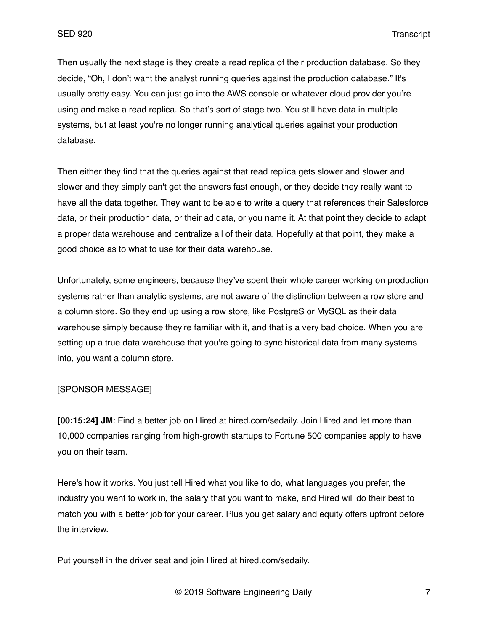Then usually the next stage is they create a read replica of their production database. So they decide, "Oh, I don't want the analyst running queries against the production database." It's usually pretty easy. You can just go into the AWS console or whatever cloud provider you're using and make a read replica. So that's sort of stage two. You still have data in multiple systems, but at least you're no longer running analytical queries against your production database.

Then either they find that the queries against that read replica gets slower and slower and slower and they simply can't get the answers fast enough, or they decide they really want to have all the data together. They want to be able to write a query that references their Salesforce data, or their production data, or their ad data, or you name it. At that point they decide to adapt a proper data warehouse and centralize all of their data. Hopefully at that point, they make a good choice as to what to use for their data warehouse.

Unfortunately, some engineers, because they've spent their whole career working on production systems rather than analytic systems, are not aware of the distinction between a row store and a column store. So they end up using a row store, like PostgreS or MySQL as their data warehouse simply because they're familiar with it, and that is a very bad choice. When you are setting up a true data warehouse that you're going to sync historical data from many systems into, you want a column store.

#### [SPONSOR MESSAGE]

**[00:15:24] JM**: Find a better job on Hired at hired.com/sedaily. Join Hired and let more than 10,000 companies ranging from high-growth startups to Fortune 500 companies apply to have you on their team.

Here's how it works. You just tell Hired what you like to do, what languages you prefer, the industry you want to work in, the salary that you want to make, and Hired will do their best to match you with a better job for your career. Plus you get salary and equity offers upfront before the interview.

Put yourself in the driver seat and join Hired at hired.com/sedaily.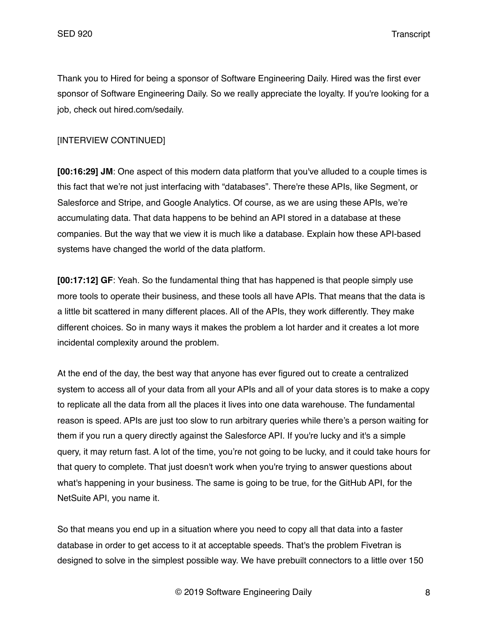Thank you to Hired for being a sponsor of Software Engineering Daily. Hired was the first ever sponsor of Software Engineering Daily. So we really appreciate the loyalty. If you're looking for a job, check out hired.com/sedaily.

## [INTERVIEW CONTINUED]

**[00:16:29] JM**: One aspect of this modern data platform that you've alluded to a couple times is this fact that we're not just interfacing with "databases". There're these APIs, like Segment, or Salesforce and Stripe, and Google Analytics. Of course, as we are using these APIs, we're accumulating data. That data happens to be behind an API stored in a database at these companies. But the way that we view it is much like a database. Explain how these API-based systems have changed the world of the data platform.

**[00:17:12] GF**: Yeah. So the fundamental thing that has happened is that people simply use more tools to operate their business, and these tools all have APIs. That means that the data is a little bit scattered in many different places. All of the APIs, they work differently. They make different choices. So in many ways it makes the problem a lot harder and it creates a lot more incidental complexity around the problem.

At the end of the day, the best way that anyone has ever figured out to create a centralized system to access all of your data from all your APIs and all of your data stores is to make a copy to replicate all the data from all the places it lives into one data warehouse. The fundamental reason is speed. APIs are just too slow to run arbitrary queries while there's a person waiting for them if you run a query directly against the Salesforce API. If you're lucky and it's a simple query, it may return fast. A lot of the time, you're not going to be lucky, and it could take hours for that query to complete. That just doesn't work when you're trying to answer questions about what's happening in your business. The same is going to be true, for the GitHub API, for the NetSuite API, you name it.

So that means you end up in a situation where you need to copy all that data into a faster database in order to get access to it at acceptable speeds. That's the problem Fivetran is designed to solve in the simplest possible way. We have prebuilt connectors to a little over 150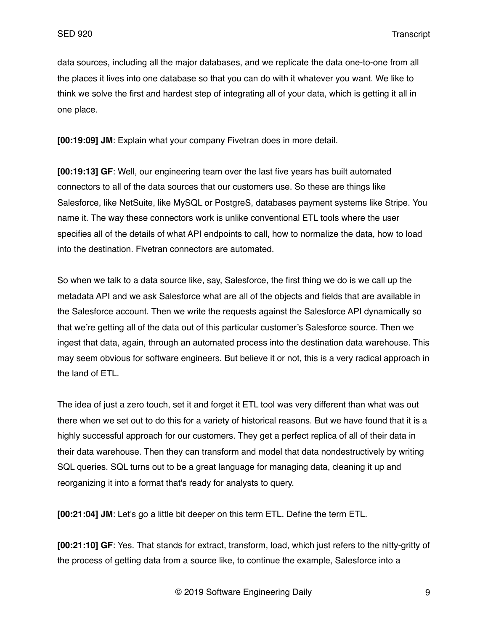data sources, including all the major databases, and we replicate the data one-to-one from all the places it lives into one database so that you can do with it whatever you want. We like to think we solve the first and hardest step of integrating all of your data, which is getting it all in one place.

**[00:19:09] JM**: Explain what your company Fivetran does in more detail.

**[00:19:13] GF**: Well, our engineering team over the last five years has built automated connectors to all of the data sources that our customers use. So these are things like Salesforce, like NetSuite, like MySQL or PostgreS, databases payment systems like Stripe. You name it. The way these connectors work is unlike conventional ETL tools where the user specifies all of the details of what API endpoints to call, how to normalize the data, how to load into the destination. Fivetran connectors are automated.

So when we talk to a data source like, say, Salesforce, the first thing we do is we call up the metadata API and we ask Salesforce what are all of the objects and fields that are available in the Salesforce account. Then we write the requests against the Salesforce API dynamically so that we're getting all of the data out of this particular customer's Salesforce source. Then we ingest that data, again, through an automated process into the destination data warehouse. This may seem obvious for software engineers. But believe it or not, this is a very radical approach in the land of ETL.

The idea of just a zero touch, set it and forget it ETL tool was very different than what was out there when we set out to do this for a variety of historical reasons. But we have found that it is a highly successful approach for our customers. They get a perfect replica of all of their data in their data warehouse. Then they can transform and model that data nondestructively by writing SQL queries. SQL turns out to be a great language for managing data, cleaning it up and reorganizing it into a format that's ready for analysts to query.

**[00:21:04] JM**: Let's go a little bit deeper on this term ETL. Define the term ETL.

**[00:21:10] GF**: Yes. That stands for extract, transform, load, which just refers to the nitty-gritty of the process of getting data from a source like, to continue the example, Salesforce into a

© 2019 Software Engineering Daily 9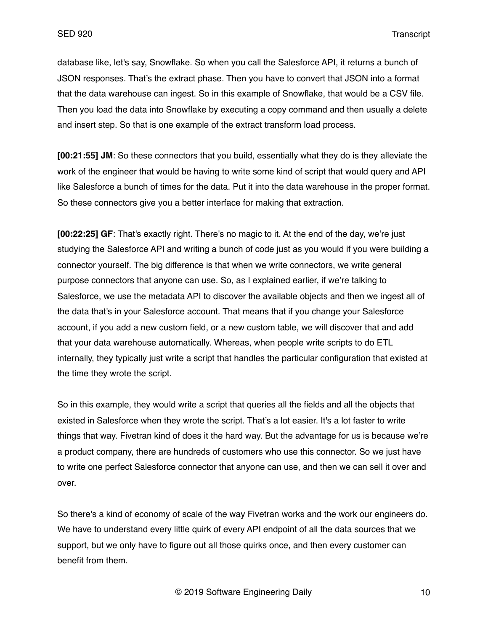database like, let's say, Snowflake. So when you call the Salesforce API, it returns a bunch of JSON responses. That's the extract phase. Then you have to convert that JSON into a format that the data warehouse can ingest. So in this example of Snowflake, that would be a CSV file. Then you load the data into Snowflake by executing a copy command and then usually a delete and insert step. So that is one example of the extract transform load process.

**[00:21:55] JM**: So these connectors that you build, essentially what they do is they alleviate the work of the engineer that would be having to write some kind of script that would query and API like Salesforce a bunch of times for the data. Put it into the data warehouse in the proper format. So these connectors give you a better interface for making that extraction.

**[00:22:25] GF**: That's exactly right. There's no magic to it. At the end of the day, we're just studying the Salesforce API and writing a bunch of code just as you would if you were building a connector yourself. The big difference is that when we write connectors, we write general purpose connectors that anyone can use. So, as I explained earlier, if we're talking to Salesforce, we use the metadata API to discover the available objects and then we ingest all of the data that's in your Salesforce account. That means that if you change your Salesforce account, if you add a new custom field, or a new custom table, we will discover that and add that your data warehouse automatically. Whereas, when people write scripts to do ETL internally, they typically just write a script that handles the particular configuration that existed at the time they wrote the script.

So in this example, they would write a script that queries all the fields and all the objects that existed in Salesforce when they wrote the script. That's a lot easier. It's a lot faster to write things that way. Fivetran kind of does it the hard way. But the advantage for us is because we're a product company, there are hundreds of customers who use this connector. So we just have to write one perfect Salesforce connector that anyone can use, and then we can sell it over and over.

So there's a kind of economy of scale of the way Fivetran works and the work our engineers do. We have to understand every little quirk of every API endpoint of all the data sources that we support, but we only have to figure out all those quirks once, and then every customer can benefit from them.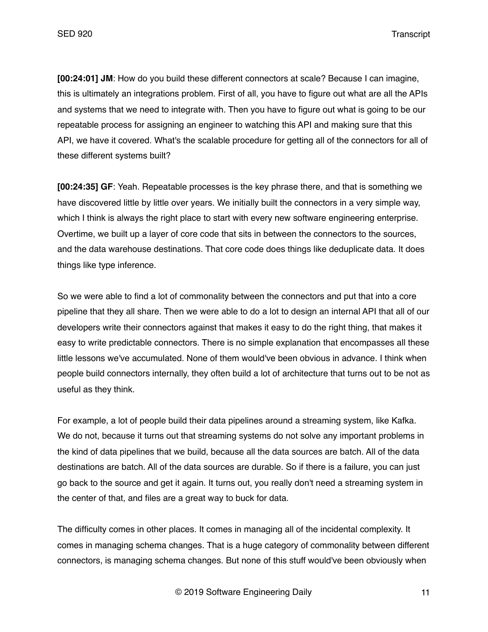**[00:24:01] JM**: How do you build these different connectors at scale? Because I can imagine, this is ultimately an integrations problem. First of all, you have to figure out what are all the APIs and systems that we need to integrate with. Then you have to figure out what is going to be our repeatable process for assigning an engineer to watching this API and making sure that this API, we have it covered. What's the scalable procedure for getting all of the connectors for all of these different systems built?

**[00:24:35] GF**: Yeah. Repeatable processes is the key phrase there, and that is something we have discovered little by little over years. We initially built the connectors in a very simple way, which I think is always the right place to start with every new software engineering enterprise. Overtime, we built up a layer of core code that sits in between the connectors to the sources, and the data warehouse destinations. That core code does things like deduplicate data. It does things like type inference.

So we were able to find a lot of commonality between the connectors and put that into a core pipeline that they all share. Then we were able to do a lot to design an internal API that all of our developers write their connectors against that makes it easy to do the right thing, that makes it easy to write predictable connectors. There is no simple explanation that encompasses all these little lessons we've accumulated. None of them would've been obvious in advance. I think when people build connectors internally, they often build a lot of architecture that turns out to be not as useful as they think.

For example, a lot of people build their data pipelines around a streaming system, like Kafka. We do not, because it turns out that streaming systems do not solve any important problems in the kind of data pipelines that we build, because all the data sources are batch. All of the data destinations are batch. All of the data sources are durable. So if there is a failure, you can just go back to the source and get it again. It turns out, you really don't need a streaming system in the center of that, and files are a great way to buck for data.

The difficulty comes in other places. It comes in managing all of the incidental complexity. It comes in managing schema changes. That is a huge category of commonality between different connectors, is managing schema changes. But none of this stuff would've been obviously when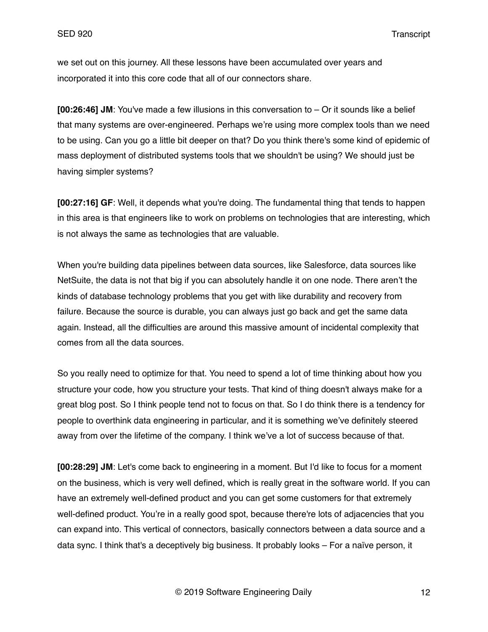we set out on this journey. All these lessons have been accumulated over years and incorporated it into this core code that all of our connectors share.

**[00:26:46] JM**: You've made a few illusions in this conversation to – Or it sounds like a belief that many systems are over-engineered. Perhaps we're using more complex tools than we need to be using. Can you go a little bit deeper on that? Do you think there's some kind of epidemic of mass deployment of distributed systems tools that we shouldn't be using? We should just be having simpler systems?

**[00:27:16] GF**: Well, it depends what you're doing. The fundamental thing that tends to happen in this area is that engineers like to work on problems on technologies that are interesting, which is not always the same as technologies that are valuable.

When you're building data pipelines between data sources, like Salesforce, data sources like NetSuite, the data is not that big if you can absolutely handle it on one node. There aren't the kinds of database technology problems that you get with like durability and recovery from failure. Because the source is durable, you can always just go back and get the same data again. Instead, all the difficulties are around this massive amount of incidental complexity that comes from all the data sources.

So you really need to optimize for that. You need to spend a lot of time thinking about how you structure your code, how you structure your tests. That kind of thing doesn't always make for a great blog post. So I think people tend not to focus on that. So I do think there is a tendency for people to overthink data engineering in particular, and it is something we've definitely steered away from over the lifetime of the company. I think we've a lot of success because of that.

**[00:28:29] JM**: Let's come back to engineering in a moment. But I'd like to focus for a moment on the business, which is very well defined, which is really great in the software world. If you can have an extremely well-defined product and you can get some customers for that extremely well-defined product. You're in a really good spot, because there're lots of adjacencies that you can expand into. This vertical of connectors, basically connectors between a data source and a data sync. I think that's a deceptively big business. It probably looks – For a naïve person, it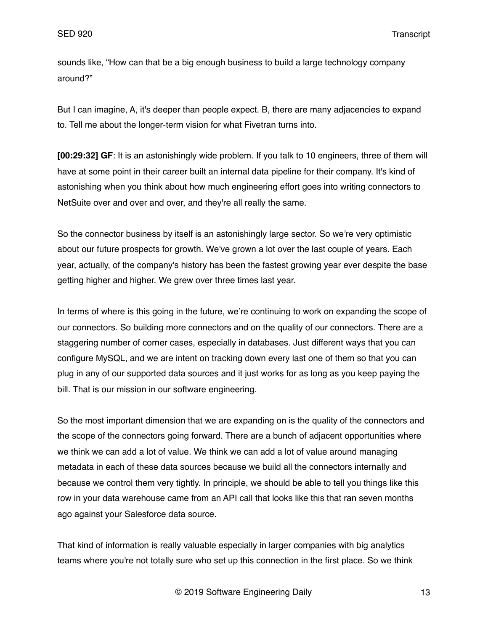sounds like, "How can that be a big enough business to build a large technology company around?"

But I can imagine, A, it's deeper than people expect. B, there are many adjacencies to expand to. Tell me about the longer-term vision for what Fivetran turns into.

**[00:29:32] GF**: It is an astonishingly wide problem. If you talk to 10 engineers, three of them will have at some point in their career built an internal data pipeline for their company. It's kind of astonishing when you think about how much engineering effort goes into writing connectors to NetSuite over and over and over, and they're all really the same.

So the connector business by itself is an astonishingly large sector. So we're very optimistic about our future prospects for growth. We've grown a lot over the last couple of years. Each year, actually, of the company's history has been the fastest growing year ever despite the base getting higher and higher. We grew over three times last year.

In terms of where is this going in the future, we're continuing to work on expanding the scope of our connectors. So building more connectors and on the quality of our connectors. There are a staggering number of corner cases, especially in databases. Just different ways that you can configure MySQL, and we are intent on tracking down every last one of them so that you can plug in any of our supported data sources and it just works for as long as you keep paying the bill. That is our mission in our software engineering.

So the most important dimension that we are expanding on is the quality of the connectors and the scope of the connectors going forward. There are a bunch of adjacent opportunities where we think we can add a lot of value. We think we can add a lot of value around managing metadata in each of these data sources because we build all the connectors internally and because we control them very tightly. In principle, we should be able to tell you things like this row in your data warehouse came from an API call that looks like this that ran seven months ago against your Salesforce data source.

That kind of information is really valuable especially in larger companies with big analytics teams where you're not totally sure who set up this connection in the first place. So we think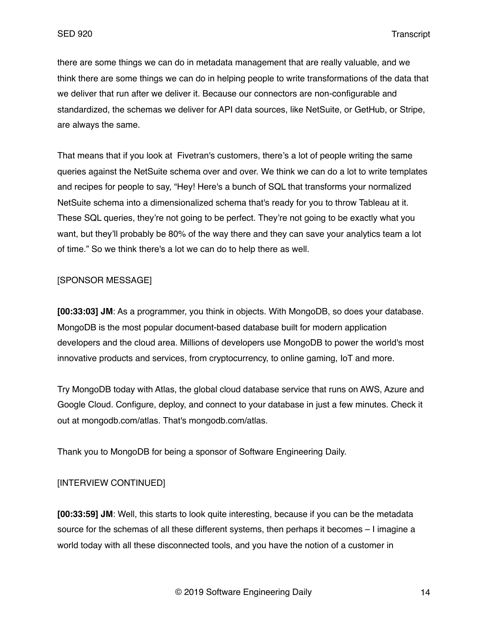there are some things we can do in metadata management that are really valuable, and we think there are some things we can do in helping people to write transformations of the data that we deliver that run after we deliver it. Because our connectors are non-configurable and standardized, the schemas we deliver for API data sources, like NetSuite, or GetHub, or Stripe, are always the same.

That means that if you look at Fivetran's customers, there's a lot of people writing the same queries against the NetSuite schema over and over. We think we can do a lot to write templates and recipes for people to say, "Hey! Here's a bunch of SQL that transforms your normalized NetSuite schema into a dimensionalized schema that's ready for you to throw Tableau at it. These SQL queries, they're not going to be perfect. They're not going to be exactly what you want, but they'll probably be 80% of the way there and they can save your analytics team a lot of time." So we think there's a lot we can do to help there as well.

## [SPONSOR MESSAGE]

**[00:33:03] JM**: As a programmer, you think in objects. With MongoDB, so does your database. MongoDB is the most popular document-based database built for modern application developers and the cloud area. Millions of developers use MongoDB to power the world's most innovative products and services, from cryptocurrency, to online gaming, IoT and more.

Try MongoDB today with Atlas, the global cloud database service that runs on AWS, Azure and Google Cloud. Configure, deploy, and connect to your database in just a few minutes. Check it out at mongodb.com/atlas. That's mongodb.com/atlas.

Thank you to MongoDB for being a sponsor of Software Engineering Daily.

# [INTERVIEW CONTINUED]

**[00:33:59] JM**: Well, this starts to look quite interesting, because if you can be the metadata source for the schemas of all these different systems, then perhaps it becomes – I imagine a world today with all these disconnected tools, and you have the notion of a customer in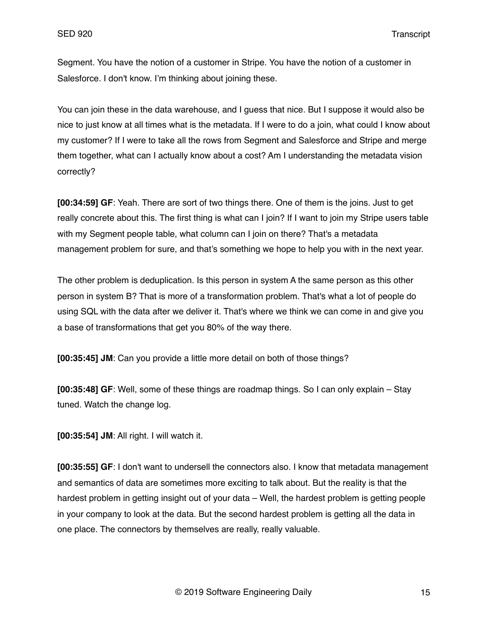Segment. You have the notion of a customer in Stripe. You have the notion of a customer in Salesforce. I don't know. I'm thinking about joining these.

You can join these in the data warehouse, and I guess that nice. But I suppose it would also be nice to just know at all times what is the metadata. If I were to do a join, what could I know about my customer? If I were to take all the rows from Segment and Salesforce and Stripe and merge them together, what can I actually know about a cost? Am I understanding the metadata vision correctly?

**[00:34:59] GF**: Yeah. There are sort of two things there. One of them is the joins. Just to get really concrete about this. The first thing is what can I join? If I want to join my Stripe users table with my Segment people table, what column can I join on there? That's a metadata management problem for sure, and that's something we hope to help you with in the next year.

The other problem is deduplication. Is this person in system A the same person as this other person in system B? That is more of a transformation problem. That's what a lot of people do using SQL with the data after we deliver it. That's where we think we can come in and give you a base of transformations that get you 80% of the way there.

**[00:35:45] JM**: Can you provide a little more detail on both of those things?

**[00:35:48] GF**: Well, some of these things are roadmap things. So I can only explain – Stay tuned. Watch the change log.

**[00:35:54] JM**: All right. I will watch it.

**[00:35:55] GF**: I don't want to undersell the connectors also. I know that metadata management and semantics of data are sometimes more exciting to talk about. But the reality is that the hardest problem in getting insight out of your data – Well, the hardest problem is getting people in your company to look at the data. But the second hardest problem is getting all the data in one place. The connectors by themselves are really, really valuable.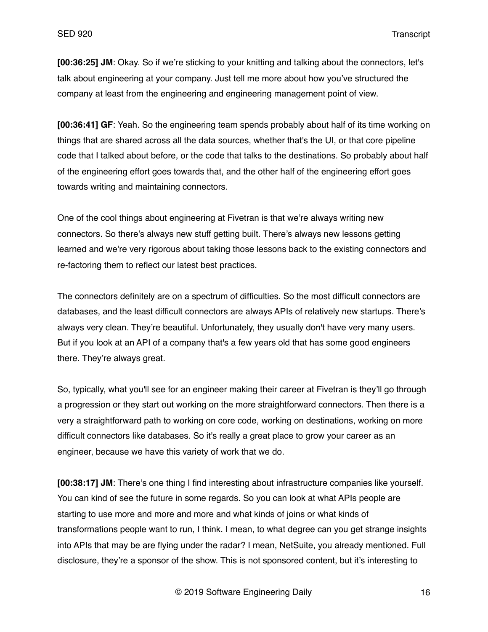**[00:36:25] JM**: Okay. So if we're sticking to your knitting and talking about the connectors, let's talk about engineering at your company. Just tell me more about how you've structured the company at least from the engineering and engineering management point of view.

**[00:36:41] GF**: Yeah. So the engineering team spends probably about half of its time working on things that are shared across all the data sources, whether that's the UI, or that core pipeline code that I talked about before, or the code that talks to the destinations. So probably about half of the engineering effort goes towards that, and the other half of the engineering effort goes towards writing and maintaining connectors.

One of the cool things about engineering at Fivetran is that we're always writing new connectors. So there's always new stuff getting built. There's always new lessons getting learned and we're very rigorous about taking those lessons back to the existing connectors and re-factoring them to reflect our latest best practices.

The connectors definitely are on a spectrum of difficulties. So the most difficult connectors are databases, and the least difficult connectors are always APIs of relatively new startups. There's always very clean. They're beautiful. Unfortunately, they usually don't have very many users. But if you look at an API of a company that's a few years old that has some good engineers there. They're always great.

So, typically, what you'll see for an engineer making their career at Fivetran is they'll go through a progression or they start out working on the more straightforward connectors. Then there is a very a straightforward path to working on core code, working on destinations, working on more difficult connectors like databases. So it's really a great place to grow your career as an engineer, because we have this variety of work that we do.

**[00:38:17] JM**: There's one thing I find interesting about infrastructure companies like yourself. You can kind of see the future in some regards. So you can look at what APIs people are starting to use more and more and more and what kinds of joins or what kinds of transformations people want to run, I think. I mean, to what degree can you get strange insights into APIs that may be are flying under the radar? I mean, NetSuite, you already mentioned. Full disclosure, they're a sponsor of the show. This is not sponsored content, but it's interesting to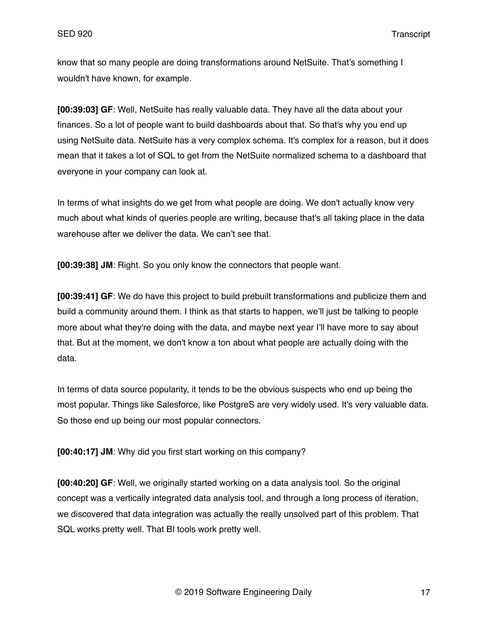know that so many people are doing transformations around NetSuite. That's something I wouldn't have known, for example.

**[00:39:03] GF**: Well, NetSuite has really valuable data. They have all the data about your finances. So a lot of people want to build dashboards about that. So that's why you end up using NetSuite data. NetSuite has a very complex schema. It's complex for a reason, but it does mean that it takes a lot of SQL to get from the NetSuite normalized schema to a dashboard that everyone in your company can look at.

In terms of what insights do we get from what people are doing. We don't actually know very much about what kinds of queries people are writing, because that's all taking place in the data warehouse after we deliver the data. We can't see that.

**[00:39:38] JM**: Right. So you only know the connectors that people want.

**[00:39:41] GF**: We do have this project to build prebuilt transformations and publicize them and build a community around them. I think as that starts to happen, we'll just be talking to people more about what they're doing with the data, and maybe next year I'll have more to say about that. But at the moment, we don't know a ton about what people are actually doing with the data.

In terms of data source popularity, it tends to be the obvious suspects who end up being the most popular. Things like Salesforce, like PostgreS are very widely used. It's very valuable data. So those end up being our most popular connectors.

**[00:40:17] JM**: Why did you first start working on this company?

**[00:40:20] GF**: Well, we originally started working on a data analysis tool. So the original concept was a vertically integrated data analysis tool, and through a long process of iteration, we discovered that data integration was actually the really unsolved part of this problem. That SQL works pretty well. That BI tools work pretty well.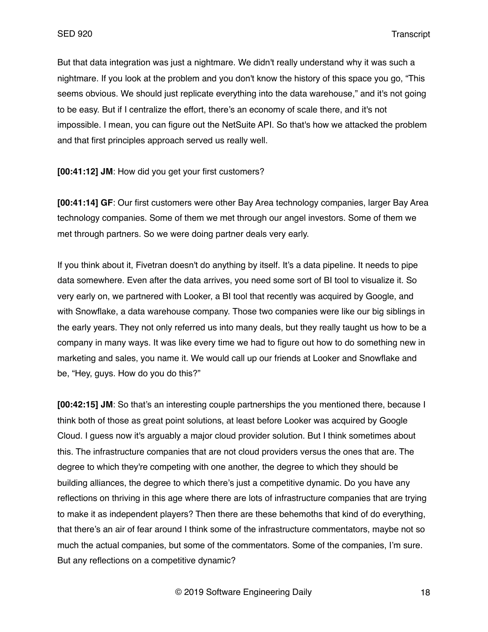But that data integration was just a nightmare. We didn't really understand why it was such a nightmare. If you look at the problem and you don't know the history of this space you go, "This seems obvious. We should just replicate everything into the data warehouse," and it's not going to be easy. But if I centralize the effort, there's an economy of scale there, and it's not impossible. I mean, you can figure out the NetSuite API. So that's how we attacked the problem and that first principles approach served us really well.

**[00:41:12] JM**: How did you get your first customers?

**[00:41:14] GF**: Our first customers were other Bay Area technology companies, larger Bay Area technology companies. Some of them we met through our angel investors. Some of them we met through partners. So we were doing partner deals very early.

If you think about it, Fivetran doesn't do anything by itself. It's a data pipeline. It needs to pipe data somewhere. Even after the data arrives, you need some sort of BI tool to visualize it. So very early on, we partnered with Looker, a BI tool that recently was acquired by Google, and with Snowflake, a data warehouse company. Those two companies were like our big siblings in the early years. They not only referred us into many deals, but they really taught us how to be a company in many ways. It was like every time we had to figure out how to do something new in marketing and sales, you name it. We would call up our friends at Looker and Snowflake and be, "Hey, guys. How do you do this?"

**[00:42:15] JM**: So that's an interesting couple partnerships the you mentioned there, because I think both of those as great point solutions, at least before Looker was acquired by Google Cloud. I guess now it's arguably a major cloud provider solution. But I think sometimes about this. The infrastructure companies that are not cloud providers versus the ones that are. The degree to which they're competing with one another, the degree to which they should be building alliances, the degree to which there's just a competitive dynamic. Do you have any reflections on thriving in this age where there are lots of infrastructure companies that are trying to make it as independent players? Then there are these behemoths that kind of do everything, that there's an air of fear around I think some of the infrastructure commentators, maybe not so much the actual companies, but some of the commentators. Some of the companies, I'm sure. But any reflections on a competitive dynamic?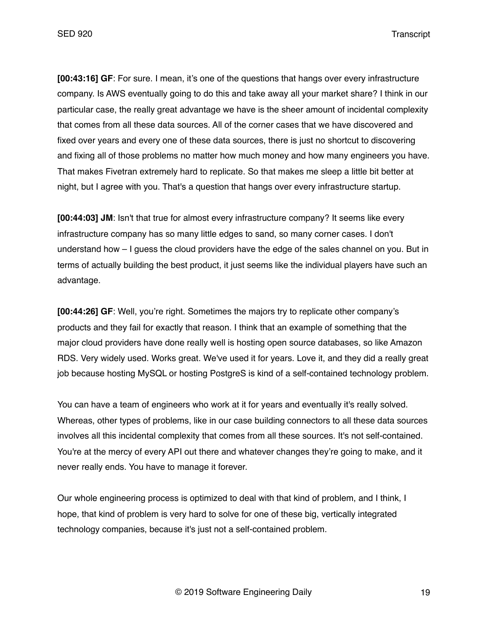**[00:43:16] GF**: For sure. I mean, it's one of the questions that hangs over every infrastructure company. Is AWS eventually going to do this and take away all your market share? I think in our particular case, the really great advantage we have is the sheer amount of incidental complexity that comes from all these data sources. All of the corner cases that we have discovered and fixed over years and every one of these data sources, there is just no shortcut to discovering and fixing all of those problems no matter how much money and how many engineers you have. That makes Fivetran extremely hard to replicate. So that makes me sleep a little bit better at night, but I agree with you. That's a question that hangs over every infrastructure startup.

**[00:44:03] JM**: Isn't that true for almost every infrastructure company? It seems like every infrastructure company has so many little edges to sand, so many corner cases. I don't understand how – I guess the cloud providers have the edge of the sales channel on you. But in terms of actually building the best product, it just seems like the individual players have such an advantage.

**[00:44:26] GF**: Well, you're right. Sometimes the majors try to replicate other company's products and they fail for exactly that reason. I think that an example of something that the major cloud providers have done really well is hosting open source databases, so like Amazon RDS. Very widely used. Works great. We've used it for years. Love it, and they did a really great job because hosting MySQL or hosting PostgreS is kind of a self-contained technology problem.

You can have a team of engineers who work at it for years and eventually it's really solved. Whereas, other types of problems, like in our case building connectors to all these data sources involves all this incidental complexity that comes from all these sources. It's not self-contained. You're at the mercy of every API out there and whatever changes they're going to make, and it never really ends. You have to manage it forever.

Our whole engineering process is optimized to deal with that kind of problem, and I think, I hope, that kind of problem is very hard to solve for one of these big, vertically integrated technology companies, because it's just not a self-contained problem.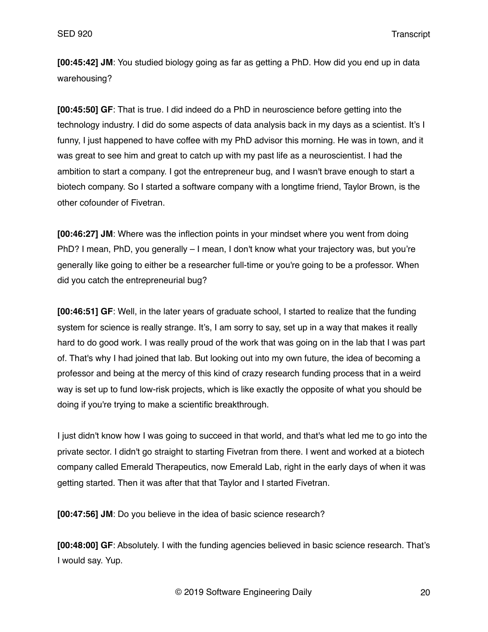**[00:45:42] JM**: You studied biology going as far as getting a PhD. How did you end up in data warehousing?

**[00:45:50] GF**: That is true. I did indeed do a PhD in neuroscience before getting into the technology industry. I did do some aspects of data analysis back in my days as a scientist. It's I funny, I just happened to have coffee with my PhD advisor this morning. He was in town, and it was great to see him and great to catch up with my past life as a neuroscientist. I had the ambition to start a company. I got the entrepreneur bug, and I wasn't brave enough to start a biotech company. So I started a software company with a longtime friend, Taylor Brown, is the other cofounder of Fivetran.

**[00:46:27] JM**: Where was the inflection points in your mindset where you went from doing PhD? I mean, PhD, you generally – I mean, I don't know what your trajectory was, but you're generally like going to either be a researcher full-time or you're going to be a professor. When did you catch the entrepreneurial bug?

**[00:46:51] GF**: Well, in the later years of graduate school, I started to realize that the funding system for science is really strange. It's, I am sorry to say, set up in a way that makes it really hard to do good work. I was really proud of the work that was going on in the lab that I was part of. That's why I had joined that lab. But looking out into my own future, the idea of becoming a professor and being at the mercy of this kind of crazy research funding process that in a weird way is set up to fund low-risk projects, which is like exactly the opposite of what you should be doing if you're trying to make a scientific breakthrough.

I just didn't know how I was going to succeed in that world, and that's what led me to go into the private sector. I didn't go straight to starting Fivetran from there. I went and worked at a biotech company called Emerald Therapeutics, now Emerald Lab, right in the early days of when it was getting started. Then it was after that that Taylor and I started Fivetran.

**[00:47:56] JM**: Do you believe in the idea of basic science research?

**[00:48:00] GF**: Absolutely. I with the funding agencies believed in basic science research. That's I would say. Yup.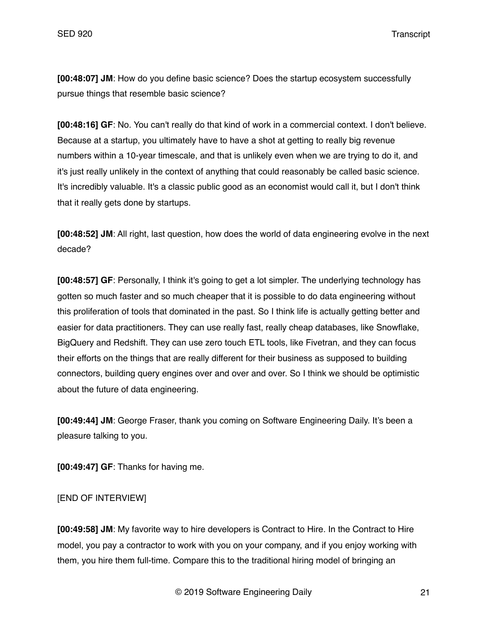**[00:48:07] JM**: How do you define basic science? Does the startup ecosystem successfully pursue things that resemble basic science?

**[00:48:16] GF**: No. You can't really do that kind of work in a commercial context. I don't believe. Because at a startup, you ultimately have to have a shot at getting to really big revenue numbers within a 10-year timescale, and that is unlikely even when we are trying to do it, and it's just really unlikely in the context of anything that could reasonably be called basic science. It's incredibly valuable. It's a classic public good as an economist would call it, but I don't think that it really gets done by startups.

**[00:48:52] JM**: All right, last question, how does the world of data engineering evolve in the next decade?

**[00:48:57] GF**: Personally, I think it's going to get a lot simpler. The underlying technology has gotten so much faster and so much cheaper that it is possible to do data engineering without this proliferation of tools that dominated in the past. So I think life is actually getting better and easier for data practitioners. They can use really fast, really cheap databases, like Snowflake, BigQuery and Redshift. They can use zero touch ETL tools, like Fivetran, and they can focus their efforts on the things that are really different for their business as supposed to building connectors, building query engines over and over and over. So I think we should be optimistic about the future of data engineering.

**[00:49:44] JM**: George Fraser, thank you coming on Software Engineering Daily. It's been a pleasure talking to you.

**[00:49:47] GF**: Thanks for having me.

[END OF INTERVIEW]

**[00:49:58] JM**: My favorite way to hire developers is Contract to Hire. In the Contract to Hire model, you pay a contractor to work with you on your company, and if you enjoy working with them, you hire them full-time. Compare this to the traditional hiring model of bringing an